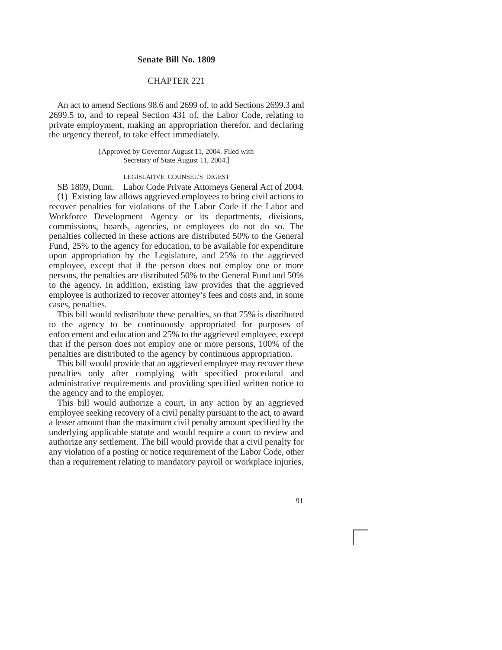# **Senate Bill No. 1809**

# CHAPTER 221

An act to amend Sections 98.6 and 2699 of, to add Sections 2699.3 and 2699.5 to, and to repeal Section 431 of, the Labor Code, relating to private employment, making an appropriation therefor, and declaring the urgency thereof, to take effect immediately.

#### [Approved by Governor August 11, 2004. Filed with Secretary of State August 11, 2004.]

## LEGISLATIVE COUNSEL'S DIGEST

SB 1809, Dunn. Labor Code Private Attorneys General Act of 2004. (1) Existing law allows aggrieved employees to bring civil actions to recover penalties for violations of the Labor Code if the Labor and Workforce Development Agency or its departments, divisions, commissions, boards, agencies, or employees do not do so. The penalties collected in these actions are distributed 50% to the General Fund, 25% to the agency for education, to be available for expenditure upon appropriation by the Legislature, and 25% to the aggrieved employee, except that if the person does not employ one or more persons, the penalties are distributed 50% to the General Fund and 50% to the agency. In addition, existing law provides that the aggrieved employee is authorized to recover attorney's fees and costs and, in some cases, penalties.

This bill would redistribute these penalties, so that 75% is distributed to the agency to be continuously appropriated for purposes of enforcement and education and 25% to the aggrieved employee, except that if the person does not employ one or more persons, 100% of the penalties are distributed to the agency by continuous appropriation.

This bill would provide that an aggrieved employee may recover these penalties only after complying with specified procedural and administrative requirements and providing specified written notice to the agency and to the employer.

This bill would authorize a court, in any action by an aggrieved employee seeking recovery of a civil penalty pursuant to the act, to award a lesser amount than the maximum civil penalty amount specified by the underlying applicable statute and would require a court to review and authorize any settlement. The bill would provide that a civil penalty for any violation of a posting or notice requirement of the Labor Code, other than a requirement relating to mandatory payroll or workplace injuries,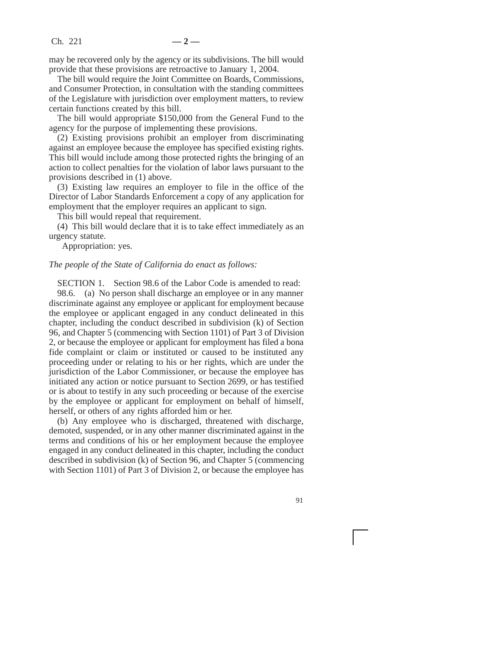may be recovered only by the agency or its subdivisions. The bill would provide that these provisions are retroactive to January 1, 2004.

The bill would require the Joint Committee on Boards, Commissions, and Consumer Protection, in consultation with the standing committees of the Legislature with jurisdiction over employment matters, to review certain functions created by this bill.

The bill would appropriate \$150,000 from the General Fund to the agency for the purpose of implementing these provisions.

(2) Existing provisions prohibit an employer from discriminating against an employee because the employee has specified existing rights. This bill would include among those protected rights the bringing of an action to collect penalties for the violation of labor laws pursuant to the provisions described in (1) above.

(3) Existing law requires an employer to file in the office of the Director of Labor Standards Enforcement a copy of any application for employment that the employer requires an applicant to sign.

This bill would repeal that requirement.

(4) This bill would declare that it is to take effect immediately as an urgency statute.

Appropriation: yes.

## *The people of the State of California do enact as follows:*

SECTION 1. Section 98.6 of the Labor Code is amended to read: 98.6. (a) No person shall discharge an employee or in any manner discriminate against any employee or applicant for employment because the employee or applicant engaged in any conduct delineated in this chapter, including the conduct described in subdivision (k) of Section 96, and Chapter 5 (commencing with Section 1101) of Part 3 of Division 2, or because the employee or applicant for employment has filed a bona fide complaint or claim or instituted or caused to be instituted any proceeding under or relating to his or her rights, which are under the jurisdiction of the Labor Commissioner, or because the employee has initiated any action or notice pursuant to Section 2699, or has testified or is about to testify in any such proceeding or because of the exercise by the employee or applicant for employment on behalf of himself, herself, or others of any rights afforded him or her.

(b) Any employee who is discharged, threatened with discharge, demoted, suspended, or in any other manner discriminated against in the terms and conditions of his or her employment because the employee engaged in any conduct delineated in this chapter, including the conduct described in subdivision (k) of Section 96, and Chapter 5 (commencing with Section 1101) of Part 3 of Division 2, or because the employee has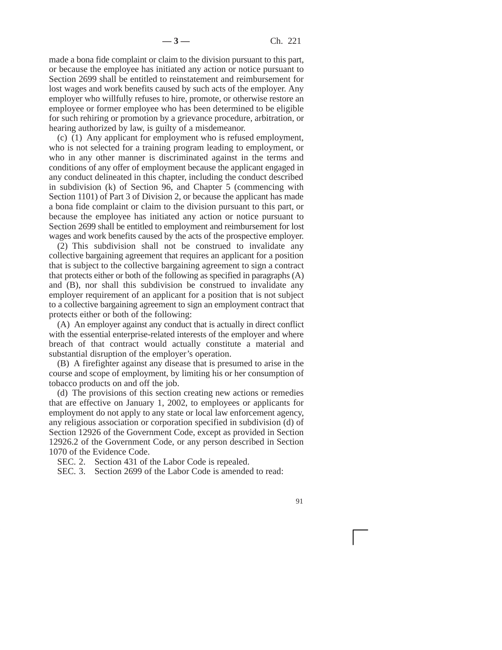made a bona fide complaint or claim to the division pursuant to this part, or because the employee has initiated any action or notice pursuant to Section 2699 shall be entitled to reinstatement and reimbursement for lost wages and work benefits caused by such acts of the employer. Any employer who willfully refuses to hire, promote, or otherwise restore an employee or former employee who has been determined to be eligible for such rehiring or promotion by a grievance procedure, arbitration, or hearing authorized by law, is guilty of a misdemeanor.

(c) (1) Any applicant for employment who is refused employment, who is not selected for a training program leading to employment, or who in any other manner is discriminated against in the terms and conditions of any offer of employment because the applicant engaged in any conduct delineated in this chapter, including the conduct described in subdivision (k) of Section 96, and Chapter 5 (commencing with Section 1101) of Part 3 of Division 2, or because the applicant has made a bona fide complaint or claim to the division pursuant to this part, or because the employee has initiated any action or notice pursuant to Section 2699 shall be entitled to employment and reimbursement for lost wages and work benefits caused by the acts of the prospective employer.

(2) This subdivision shall not be construed to invalidate any collective bargaining agreement that requires an applicant for a position that is subject to the collective bargaining agreement to sign a contract that protects either or both of the following as specified in paragraphs (A) and (B), nor shall this subdivision be construed to invalidate any employer requirement of an applicant for a position that is not subject to a collective bargaining agreement to sign an employment contract that protects either or both of the following:

(A) An employer against any conduct that is actually in direct conflict with the essential enterprise-related interests of the employer and where breach of that contract would actually constitute a material and substantial disruption of the employer's operation.

(B) A firefighter against any disease that is presumed to arise in the course and scope of employment, by limiting his or her consumption of tobacco products on and off the job.

(d) The provisions of this section creating new actions or remedies that are effective on January 1, 2002, to employees or applicants for employment do not apply to any state or local law enforcement agency, any religious association or corporation specified in subdivision (d) of Section 12926 of the Government Code, except as provided in Section 12926.2 of the Government Code, or any person described in Section 1070 of the Evidence Code.

SEC. 2. Section 431 of the Labor Code is repealed.

SEC. 3. Section 2699 of the Labor Code is amended to read: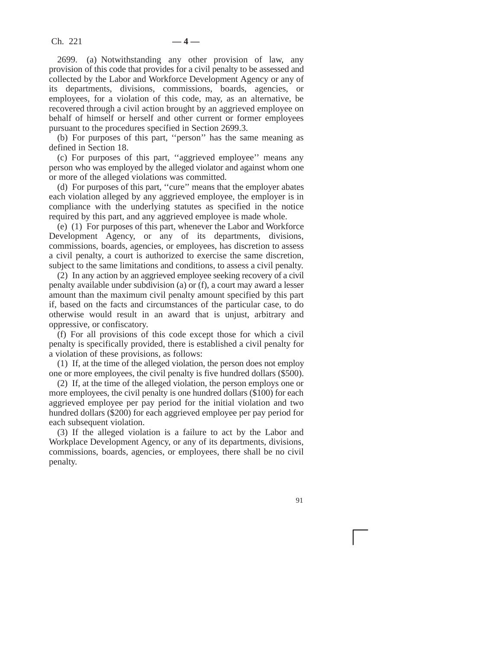2699. (a) Notwithstanding any other provision of law, any provision of this code that provides for a civil penalty to be assessed and collected by the Labor and Workforce Development Agency or any of its departments, divisions, commissions, boards, agencies, or employees, for a violation of this code, may, as an alternative, be recovered through a civil action brought by an aggrieved employee on behalf of himself or herself and other current or former employees pursuant to the procedures specified in Section 2699.3.

(b) For purposes of this part, ''person'' has the same meaning as defined in Section 18.

(c) For purposes of this part, ''aggrieved employee'' means any person who was employed by the alleged violator and against whom one or more of the alleged violations was committed.

(d) For purposes of this part, ''cure'' means that the employer abates each violation alleged by any aggrieved employee, the employer is in compliance with the underlying statutes as specified in the notice required by this part, and any aggrieved employee is made whole.

(e) (1) For purposes of this part, whenever the Labor and Workforce Development Agency, or any of its departments, divisions, commissions, boards, agencies, or employees, has discretion to assess a civil penalty, a court is authorized to exercise the same discretion, subject to the same limitations and conditions, to assess a civil penalty.

(2) In any action by an aggrieved employee seeking recovery of a civil penalty available under subdivision (a) or (f), a court may award a lesser amount than the maximum civil penalty amount specified by this part if, based on the facts and circumstances of the particular case, to do otherwise would result in an award that is unjust, arbitrary and oppressive, or confiscatory.

(f) For all provisions of this code except those for which a civil penalty is specifically provided, there is established a civil penalty for a violation of these provisions, as follows:

(1) If, at the time of the alleged violation, the person does not employ one or more employees, the civil penalty is five hundred dollars (\$500).

(2) If, at the time of the alleged violation, the person employs one or more employees, the civil penalty is one hundred dollars (\$100) for each aggrieved employee per pay period for the initial violation and two hundred dollars (\$200) for each aggrieved employee per pay period for each subsequent violation.

(3) If the alleged violation is a failure to act by the Labor and Workplace Development Agency, or any of its departments, divisions, commissions, boards, agencies, or employees, there shall be no civil penalty.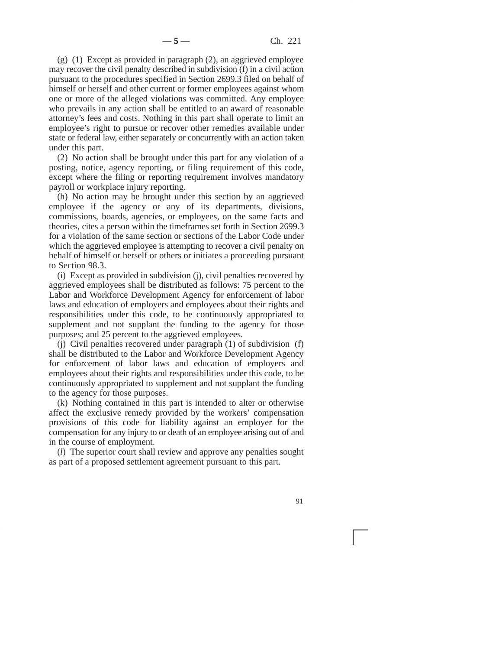(g) (1) Except as provided in paragraph (2), an aggrieved employee may recover the civil penalty described in subdivision (f) in a civil action pursuant to the procedures specified in Section 2699.3 filed on behalf of himself or herself and other current or former employees against whom one or more of the alleged violations was committed. Any employee who prevails in any action shall be entitled to an award of reasonable attorney's fees and costs. Nothing in this part shall operate to limit an employee's right to pursue or recover other remedies available under state or federal law, either separately or concurrently with an action taken under this part.

(2) No action shall be brought under this part for any violation of a posting, notice, agency reporting, or filing requirement of this code, except where the filing or reporting requirement involves mandatory payroll or workplace injury reporting.

(h) No action may be brought under this section by an aggrieved employee if the agency or any of its departments, divisions, commissions, boards, agencies, or employees, on the same facts and theories, cites a person within the timeframes set forth in Section 2699.3 for a violation of the same section or sections of the Labor Code under which the aggrieved employee is attempting to recover a civil penalty on behalf of himself or herself or others or initiates a proceeding pursuant to Section 98.3.

(i) Except as provided in subdivision (j), civil penalties recovered by aggrieved employees shall be distributed as follows: 75 percent to the Labor and Workforce Development Agency for enforcement of labor laws and education of employers and employees about their rights and responsibilities under this code, to be continuously appropriated to supplement and not supplant the funding to the agency for those purposes; and 25 percent to the aggrieved employees.

(j) Civil penalties recovered under paragraph (1) of subdivision (f) shall be distributed to the Labor and Workforce Development Agency for enforcement of labor laws and education of employers and employees about their rights and responsibilities under this code, to be continuously appropriated to supplement and not supplant the funding to the agency for those purposes.

(k) Nothing contained in this part is intended to alter or otherwise affect the exclusive remedy provided by the workers' compensation provisions of this code for liability against an employer for the compensation for any injury to or death of an employee arising out of and in the course of employment.

(*l*) The superior court shall review and approve any penalties sought as part of a proposed settlement agreement pursuant to this part.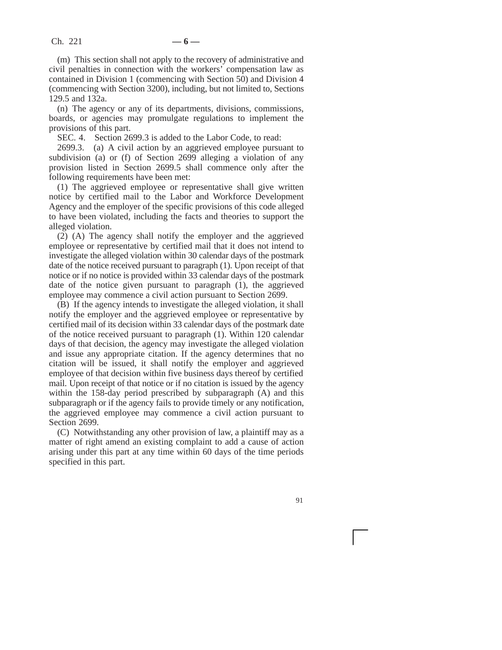(m) This section shall not apply to the recovery of administrative and civil penalties in connection with the workers' compensation law as contained in Division 1 (commencing with Section 50) and Division 4 (commencing with Section 3200), including, but not limited to, Sections 129.5 and 132a.

(n) The agency or any of its departments, divisions, commissions, boards, or agencies may promulgate regulations to implement the provisions of this part.

SEC. 4. Section 2699.3 is added to the Labor Code, to read:

2699.3. (a) A civil action by an aggrieved employee pursuant to subdivision (a) or (f) of Section 2699 alleging a violation of any provision listed in Section 2699.5 shall commence only after the following requirements have been met:

(1) The aggrieved employee or representative shall give written notice by certified mail to the Labor and Workforce Development Agency and the employer of the specific provisions of this code alleged to have been violated, including the facts and theories to support the alleged violation.

(2) (A) The agency shall notify the employer and the aggrieved employee or representative by certified mail that it does not intend to investigate the alleged violation within 30 calendar days of the postmark date of the notice received pursuant to paragraph (1). Upon receipt of that notice or if no notice is provided within 33 calendar days of the postmark date of the notice given pursuant to paragraph (1), the aggrieved employee may commence a civil action pursuant to Section 2699.

(B) If the agency intends to investigate the alleged violation, it shall notify the employer and the aggrieved employee or representative by certified mail of its decision within 33 calendar days of the postmark date of the notice received pursuant to paragraph (1). Within 120 calendar days of that decision, the agency may investigate the alleged violation and issue any appropriate citation. If the agency determines that no citation will be issued, it shall notify the employer and aggrieved employee of that decision within five business days thereof by certified mail. Upon receipt of that notice or if no citation is issued by the agency within the 158-day period prescribed by subparagraph (A) and this subparagraph or if the agency fails to provide timely or any notification, the aggrieved employee may commence a civil action pursuant to Section 2699.

(C) Notwithstanding any other provision of law, a plaintiff may as a matter of right amend an existing complaint to add a cause of action arising under this part at any time within 60 days of the time periods specified in this part.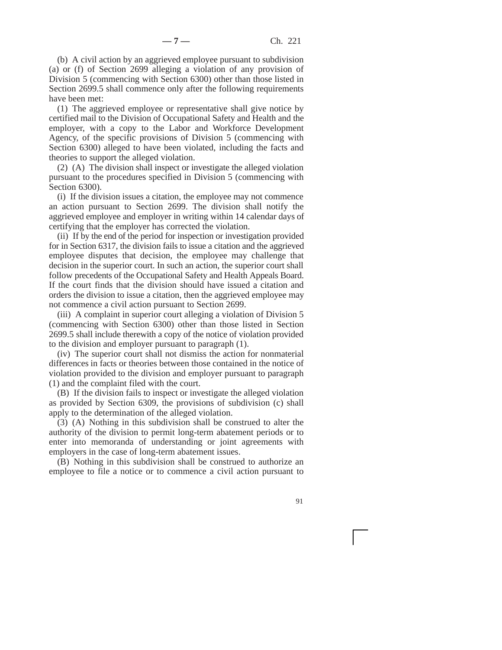(b) A civil action by an aggrieved employee pursuant to subdivision (a) or (f) of Section 2699 alleging a violation of any provision of Division 5 (commencing with Section 6300) other than those listed in Section 2699.5 shall commence only after the following requirements have been met:

(1) The aggrieved employee or representative shall give notice by certified mail to the Division of Occupational Safety and Health and the employer, with a copy to the Labor and Workforce Development Agency, of the specific provisions of Division 5 (commencing with Section 6300) alleged to have been violated, including the facts and theories to support the alleged violation.

(2) (A) The division shall inspect or investigate the alleged violation pursuant to the procedures specified in Division 5 (commencing with Section 6300).

(i) If the division issues a citation, the employee may not commence an action pursuant to Section 2699. The division shall notify the aggrieved employee and employer in writing within 14 calendar days of certifying that the employer has corrected the violation.

(ii) If by the end of the period for inspection or investigation provided for in Section 6317, the division fails to issue a citation and the aggrieved employee disputes that decision, the employee may challenge that decision in the superior court. In such an action, the superior court shall follow precedents of the Occupational Safety and Health Appeals Board. If the court finds that the division should have issued a citation and orders the division to issue a citation, then the aggrieved employee may not commence a civil action pursuant to Section 2699.

(iii) A complaint in superior court alleging a violation of Division 5 (commencing with Section 6300) other than those listed in Section 2699.5 shall include therewith a copy of the notice of violation provided to the division and employer pursuant to paragraph (1).

(iv) The superior court shall not dismiss the action for nonmaterial differences in facts or theories between those contained in the notice of violation provided to the division and employer pursuant to paragraph (1) and the complaint filed with the court.

(B) If the division fails to inspect or investigate the alleged violation as provided by Section 6309, the provisions of subdivision (c) shall apply to the determination of the alleged violation.

(3) (A) Nothing in this subdivision shall be construed to alter the authority of the division to permit long-term abatement periods or to enter into memoranda of understanding or joint agreements with employers in the case of long-term abatement issues.

(B) Nothing in this subdivision shall be construed to authorize an employee to file a notice or to commence a civil action pursuant to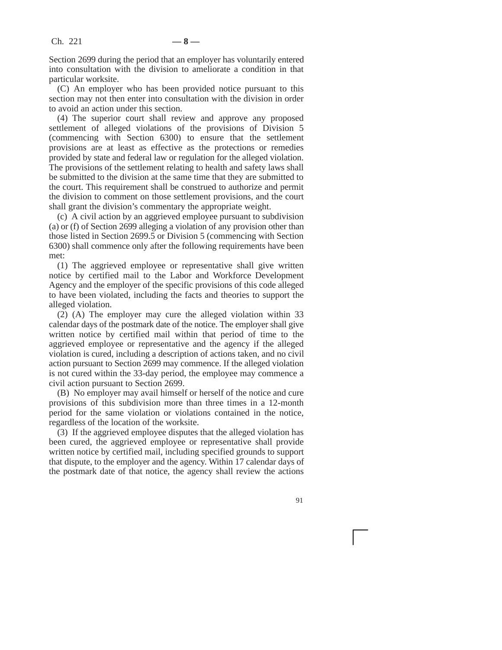Section 2699 during the period that an employer has voluntarily entered into consultation with the division to ameliorate a condition in that particular worksite.

(C) An employer who has been provided notice pursuant to this section may not then enter into consultation with the division in order to avoid an action under this section.

(4) The superior court shall review and approve any proposed settlement of alleged violations of the provisions of Division 5 (commencing with Section 6300) to ensure that the settlement provisions are at least as effective as the protections or remedies provided by state and federal law or regulation for the alleged violation. The provisions of the settlement relating to health and safety laws shall be submitted to the division at the same time that they are submitted to the court. This requirement shall be construed to authorize and permit the division to comment on those settlement provisions, and the court shall grant the division's commentary the appropriate weight.

(c) A civil action by an aggrieved employee pursuant to subdivision (a) or (f) of Section 2699 alleging a violation of any provision other than those listed in Section 2699.5 or Division 5 (commencing with Section 6300) shall commence only after the following requirements have been met:

(1) The aggrieved employee or representative shall give written notice by certified mail to the Labor and Workforce Development Agency and the employer of the specific provisions of this code alleged to have been violated, including the facts and theories to support the alleged violation.

(2) (A) The employer may cure the alleged violation within 33 calendar days of the postmark date of the notice. The employer shall give written notice by certified mail within that period of time to the aggrieved employee or representative and the agency if the alleged violation is cured, including a description of actions taken, and no civil action pursuant to Section 2699 may commence. If the alleged violation is not cured within the 33-day period, the employee may commence a civil action pursuant to Section 2699.

(B) No employer may avail himself or herself of the notice and cure provisions of this subdivision more than three times in a 12-month period for the same violation or violations contained in the notice, regardless of the location of the worksite.

(3) If the aggrieved employee disputes that the alleged violation has been cured, the aggrieved employee or representative shall provide written notice by certified mail, including specified grounds to support that dispute, to the employer and the agency. Within 17 calendar days of the postmark date of that notice, the agency shall review the actions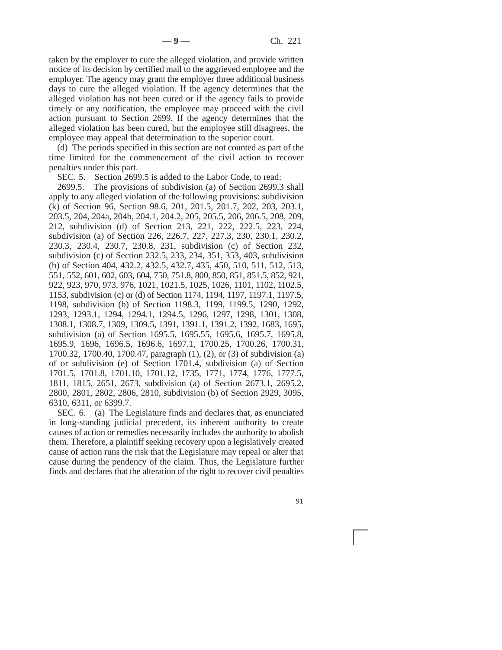taken by the employer to cure the alleged violation, and provide written notice of its decision by certified mail to the aggrieved employee and the employer. The agency may grant the employer three additional business days to cure the alleged violation. If the agency determines that the alleged violation has not been cured or if the agency fails to provide timely or any notification, the employee may proceed with the civil action pursuant to Section 2699. If the agency determines that the alleged violation has been cured, but the employee still disagrees, the employee may appeal that determination to the superior court.

(d) The periods specified in this section are not counted as part of the time limited for the commencement of the civil action to recover penalties under this part.

SEC. 5. Section 2699.5 is added to the Labor Code, to read:

2699.5. The provisions of subdivision (a) of Section 2699.3 shall apply to any alleged violation of the following provisions: subdivision (k) of Section 96, Section 98.6, 201, 201.5, 201.7, 202, 203, 203.1, 203.5, 204, 204a, 204b, 204.1, 204.2, 205, 205.5, 206, 206.5, 208, 209, 212, subdivision (d) of Section 213, 221, 222, 222.5, 223, 224, subdivision (a) of Section 226, 226.7, 227, 227.3, 230, 230.1, 230.2, 230.3, 230.4, 230.7, 230.8, 231, subdivision (c) of Section 232, subdivision (c) of Section 232.5, 233, 234, 351, 353, 403, subdivision (b) of Section 404, 432.2, 432.5, 432.7, 435, 450, 510, 511, 512, 513, 551, 552, 601, 602, 603, 604, 750, 751.8, 800, 850, 851, 851.5, 852, 921, 922, 923, 970, 973, 976, 1021, 1021.5, 1025, 1026, 1101, 1102, 1102.5, 1153, subdivision (c) or (d) of Section 1174, 1194, 1197, 1197.1, 1197.5, 1198, subdivision (b) of Section 1198.3, 1199, 1199.5, 1290, 1292, 1293, 1293.1, 1294, 1294.1, 1294.5, 1296, 1297, 1298, 1301, 1308, 1308.1, 1308.7, 1309, 1309.5, 1391, 1391.1, 1391.2, 1392, 1683, 1695, subdivision (a) of Section 1695.5, 1695.55, 1695.6, 1695.7, 1695.8, 1695.9, 1696, 1696.5, 1696.6, 1697.1, 1700.25, 1700.26, 1700.31, 1700.32, 1700.40, 1700.47, paragraph (1), (2), or (3) of subdivision (a) of or subdivision (e) of Section 1701.4, subdivision (a) of Section 1701.5, 1701.8, 1701.10, 1701.12, 1735, 1771, 1774, 1776, 1777.5, 1811, 1815, 2651, 2673, subdivision (a) of Section 2673.1, 2695.2, 2800, 2801, 2802, 2806, 2810, subdivision (b) of Section 2929, 3095, 6310, 6311, or 6399.7.

SEC. 6. (a) The Legislature finds and declares that, as enunciated in long-standing judicial precedent, its inherent authority to create causes of action or remedies necessarily includes the authority to abolish them. Therefore, a plaintiff seeking recovery upon a legislatively created cause of action runs the risk that the Legislature may repeal or alter that cause during the pendency of the claim. Thus, the Legislature further finds and declares that the alteration of the right to recover civil penalties